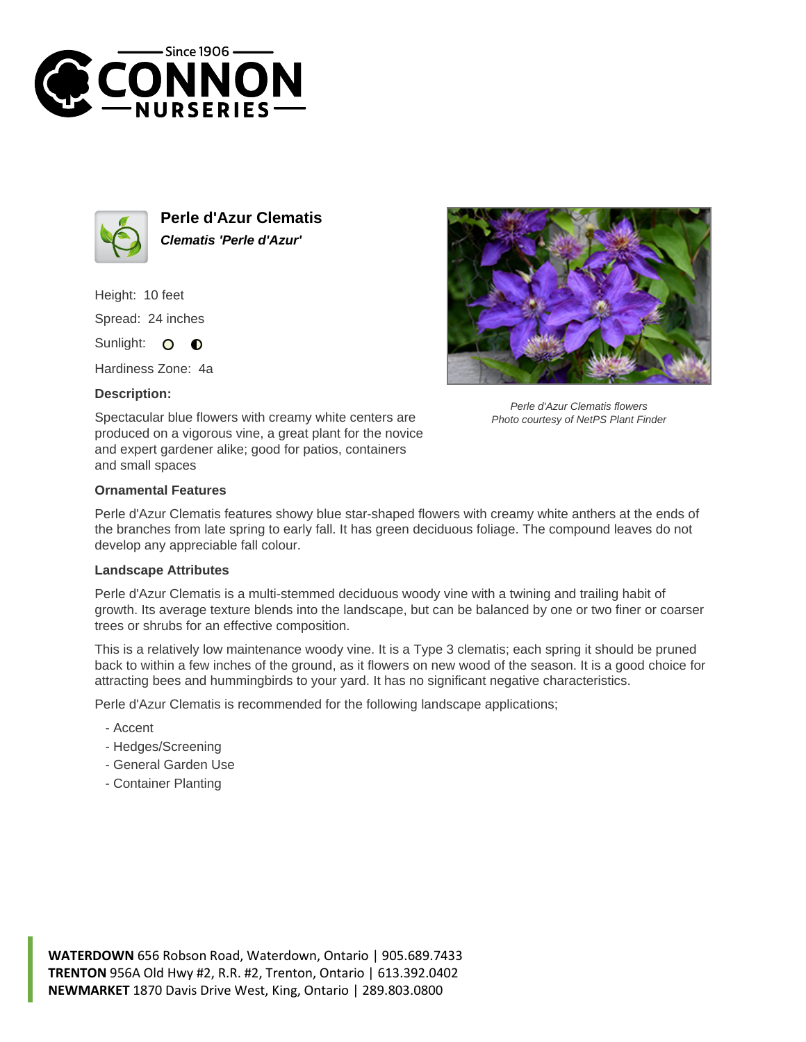



**Perle d'Azur Clematis Clematis 'Perle d'Azur'**

Height: 10 feet Spread: 24 inches Sunlight: O  $\bullet$ 

Hardiness Zone: 4a

## **Description:**



Perle d'Azur Clematis flowers Photo courtesy of NetPS Plant Finder

Spectacular blue flowers with creamy white centers are produced on a vigorous vine, a great plant for the novice and expert gardener alike; good for patios, containers and small spaces

## **Ornamental Features**

Perle d'Azur Clematis features showy blue star-shaped flowers with creamy white anthers at the ends of the branches from late spring to early fall. It has green deciduous foliage. The compound leaves do not develop any appreciable fall colour.

## **Landscape Attributes**

Perle d'Azur Clematis is a multi-stemmed deciduous woody vine with a twining and trailing habit of growth. Its average texture blends into the landscape, but can be balanced by one or two finer or coarser trees or shrubs for an effective composition.

This is a relatively low maintenance woody vine. It is a Type 3 clematis; each spring it should be pruned back to within a few inches of the ground, as it flowers on new wood of the season. It is a good choice for attracting bees and hummingbirds to your yard. It has no significant negative characteristics.

Perle d'Azur Clematis is recommended for the following landscape applications;

- Accent
- Hedges/Screening
- General Garden Use
- Container Planting

**WATERDOWN** 656 Robson Road, Waterdown, Ontario | 905.689.7433 **TRENTON** 956A Old Hwy #2, R.R. #2, Trenton, Ontario | 613.392.0402 **NEWMARKET** 1870 Davis Drive West, King, Ontario | 289.803.0800